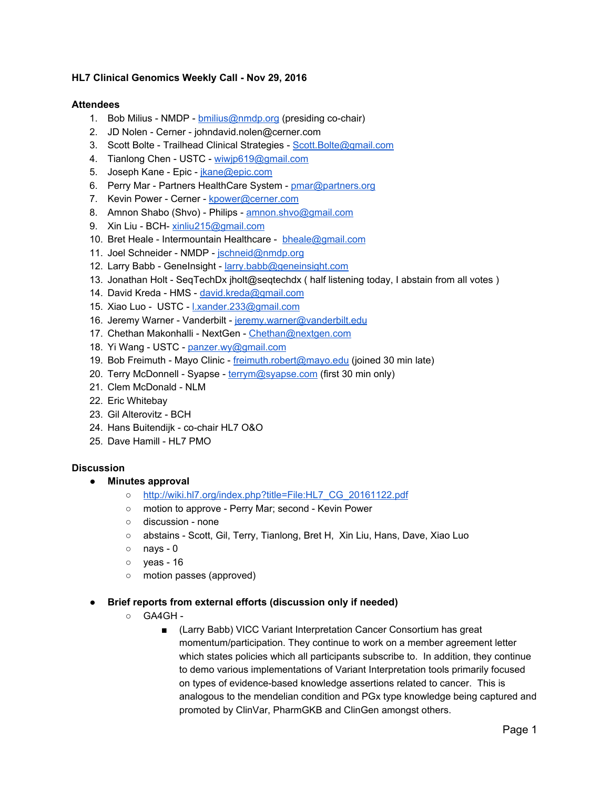### **HL7 Clinical Genomics Weekly Call - Nov 29, 2016**

#### **Attendees**

- 1. Bob Milius NMDP [bmilius@nmdp.org](mailto:bmilius@nmdp.org) (presiding co-chair)
- 2. JD Nolen Cerner johndavid.nolen@cerner.com
- 3. Scott Bolte Trailhead Clinical Strategies - [Scott.Bolte@gmail.com](mailto:Scott.Bolte@gmail.com)
- 4. Tianlong Chen USTC - [wiwjp619@gmail.com](mailto:wiwjp619@gmail.com)
- 5. Joseph Kane Epic - [jkane@epic.com](mailto:jkane@epic.com)
- 6. Perry Mar Partners HealthCare System - [pmar@partners.org](mailto:pmar@partners.org)
- 7. Kevin Power Cerner - [kpower@cerner.com](mailto:kpower@cerner.com)
- 8. Amnon Shabo (Shvo) Philips - [amnon.shvo@gmail.com](mailto:amnon.shvo@gmail.com)
- 9. Xin Liu BCH- [xinliu215@gmail.com](mailto:xinliu215@gmail.com)
- 10. Bret Heale Intermountain Healthcare [bheale@gmail.com](mailto:bheale@gmail.com)
- 11. Joel Schneider NMDP - [jschneid@nmdp.org](mailto:jschneid@nmdp.org)
- 12. Larry Babb GeneInsight - [larry.babb@geneinsight.com](mailto:larry.babb@geneinsight.com)
- 13. Jonathan Holt SeqTechDx jholt@seqtechdx ( half listening today, I abstain from all votes )
- 14. David Kreda HMS - [david.kreda@gmail.com](mailto:david.kreda@gmail.com)
- 15. Xiao Luo USTC [l.xander.233@gmail.com](mailto:l.xander.233@gmail.com)
- 16. Jeremy Warner Vanderbilt [jeremy.warner@vanderbilt.edu](mailto:jeremy.warner@vanderbilt.edu)
- 17. Chethan Makonhalli NextGen [Chethan@nextgen.com](mailto:Chethan@nextgen.com)
- 18. Yi Wang USTC - [panzer.wy@gmail.com](mailto:panzer.wy@gmail.com)
- 19. Bob Freimuth Mayo Clinic - [freimuth.robert@mayo.edu](mailto:freimuth.robert@mayo.edu) (joined 30 min late)
- 20. Terry McDonnell Syapse - [terrym@syapse.com](mailto:terrym@syapse.com) (first 30 min only)
- 21. Clem McDonald NLM
- 22. Eric Whitebay
- 23. Gil Alterovitz BCH
- 24. Hans Buitendijk co-chair HL7 O&O
- 25. Dave Hamill HL7 PMO

#### **Discussion**

- **● Minutes approval**
	- [http://wiki.hl7.org/index.php?title=File:HL7\\_CG\\_20161122.pdf](http://wiki.hl7.org/index.php?title=File:HL7_CG_20161122.pdf)
	- motion to approve Perry Mar; second Kevin Power
	- discussion none
	- abstains Scott, Gil, Terry, Tianlong, Bret H, Xin Liu, Hans, Dave, Xiao Luo
	- nays 0
	- yeas 16
	- motion passes (approved)

#### **● Brief reports from external efforts (discussion only if needed)**

- $\circ$  GA4GH -
	- (Larry Babb) VICC Variant Interpretation Cancer Consortium has great momentum/participation. They continue to work on a member agreement letter which states policies which all participants subscribe to. In addition, they continue to demo various implementations of Variant Interpretation tools primarily focused on types of evidence-based knowledge assertions related to cancer. This is analogous to the mendelian condition and PGx type knowledge being captured and promoted by ClinVar, PharmGKB and ClinGen amongst others.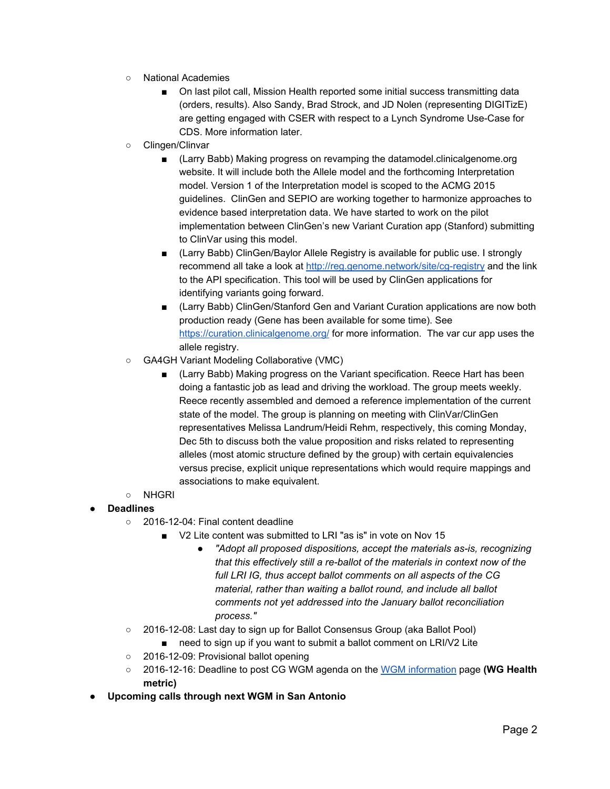- National Academies
	- On last pilot call, Mission Health reported some initial success transmitting data (orders, results). Also Sandy, Brad Strock, and JD Nolen (representing DIGITizE) are getting engaged with CSER with respect to a Lynch Syndrome Use-Case for CDS. More information later.
- Clingen/Clinvar
	- (Larry Babb) Making progress on revamping the datamodel.clinicalgenome.org website. It will include both the Allele model and the forthcoming Interpretation model. Version 1 of the Interpretation model is scoped to the ACMG 2015 guidelines. ClinGen and SEPIO are working together to harmonize approaches to evidence based interpretation data. We have started to work on the pilot implementation between ClinGen's new Variant Curation app (Stanford) submitting to ClinVar using this model.
	- (Larry Babb) ClinGen/Baylor Allele Registry is available for public use. I strongly recommend all take a look at<http://reg.genome.network/site/cg-registry>and the link to the API specification. This tool will be used by ClinGen applications for identifying variants going forward.
	- (Larry Babb) ClinGen/Stanford Gen and Variant Curation applications are now both production ready (Gene has been available for some time). See <https://curation.clinicalgenome.org/>for more information. The var cur app uses the allele registry.
- GA4GH Variant Modeling Collaborative (VMC)
	- (Larry Babb) Making progress on the Variant specification. Reece Hart has been doing a fantastic job as lead and driving the workload. The group meets weekly. Reece recently assembled and demoed a reference implementation of the current state of the model. The group is planning on meeting with ClinVar/ClinGen representatives Melissa Landrum/Heidi Rehm, respectively, this coming Monday, Dec 5th to discuss both the value proposition and risks related to representing alleles (most atomic structure defined by the group) with certain equivalencies versus precise, explicit unique representations which would require mappings and associations to make equivalent.
- NHGRI

## **● Deadlines**

- 2016-12-04: Final content deadline
	- V2 Lite content was submitted to LRI "as is" in vote on Nov 15
		- *● "Adopt all proposed dispositions, accept the materials as-is, recognizing that this effectively still a re-ballot of the materials in context now of the full LRI IG, thus accept ballot comments on all aspects of the CG material, rather than waiting a ballot round, and include all ballot comments not yet addressed into the January ballot reconciliation process."*
- 2016-12-08: Last day to sign up for Ballot Consensus Group (aka Ballot Pool)
	- need to sign up if you want to submit a ballot comment on LRI/V2 Lite
- 2016-12-09: Provisional ballot opening
- 2016-12-16: Deadline to post CG WGM agenda on the [WGM information](https://urldefense.proofpoint.com/v2/url?u=http-3A__wiki.hl7.org_index.php-3Ftitle-3DWGM-5Finformation&d=CwMFAg&c=C_O335FEx-vf3XHLXGN8TO1BAxpi8-UjLCbu_DQ0pZI&r=ryg_9rF5dRVeoA6Q9Ubodw&m=xo7e1rlyKZLSDF2UDODPytxXYGafQv2SxSBr6T4LkfE&s=KjpC4Z8BbZYs0jDe18afk4INj9fAQdS5bSMH5Uld6qo&e=) page **(WG Health metric)**
- **● Upcoming calls through next WGM in San Antonio**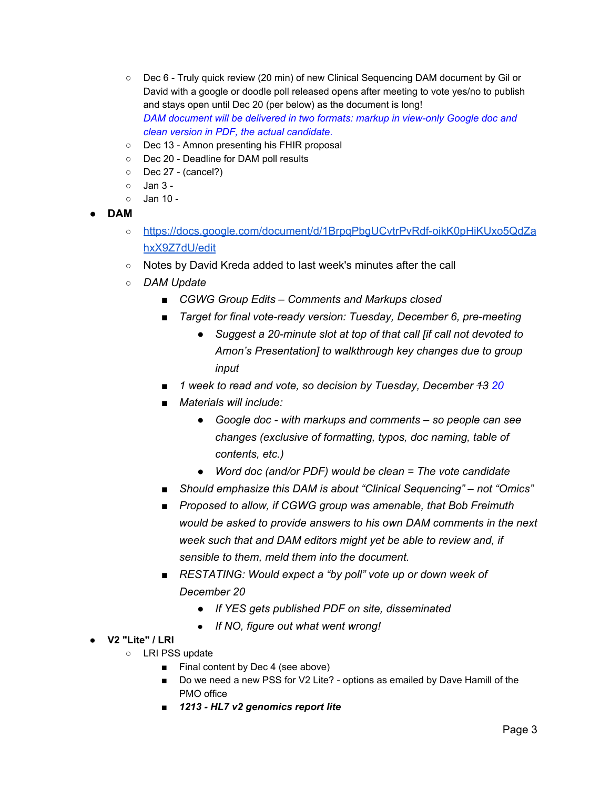- Dec 6 Truly quick review (20 min) of new Clinical Sequencing DAM document by Gil or David with a google or doodle poll released opens after meeting to vote yes/no to publish and stays open until Dec 20 (per below) as the document is long! *DAM document will be delivered in two formats: markup in view-only Google doc and clean version in PDF, the actual candidate*.
- Dec 13 Amnon presenting his FHIR proposal
- Dec 20 Deadline for DAM poll results
- Dec 27 (cancel?)
- Jan 3 -
- $\circ$  Jan 10 -
- **● DAM**
	- [https://docs.google.com/document/d/1BrpqPbgUCvtrPvRdf-oikK0pHiKUxo5QdZa](https://docs.google.com/document/d/1BrpqPbgUCvtrPvRdf-oikK0pHiKUxo5QdZahxX9Z7dU/edit) [hxX9Z7dU/edit](https://docs.google.com/document/d/1BrpqPbgUCvtrPvRdf-oikK0pHiKUxo5QdZahxX9Z7dU/edit)
	- Notes by David Kreda added to last week's minutes after the call
	- *DAM Update*
		- *■ CGWG Group Edits – Comments and Markups closed*
		- *■ Target for final vote-ready version: Tuesday, December 6, pre-meeting*
			- *● Suggest a 20-minute slot at top of that call [if call not devoted to Amon's Presentation] to walkthrough key changes due to group input*
		- *■ 1 week to read and vote, so decision by Tuesday, December 13 20*
		- *■ Materials will include:*
			- *● Google doc with markups and comments – so people can see changes (exclusive of formatting, typos, doc naming, table of contents, etc.)*
			- *● Word doc (and/or PDF) would be clean = The vote candidate*
		- *■ Should emphasize this DAM is about "Clinical Sequencing" – not "Omics"*
		- *■ Proposed to allow, if CGWG group was amenable, that Bob Freimuth would be asked to provide answers to his own DAM comments in the next week such that and DAM editors might yet be able to review and, if sensible to them, meld them into the document.*
		- *■ RESTATING: Would expect a "by poll" vote up or down week of December 20*
			- *● If YES gets published PDF on site, disseminated*
			- *If NO, figure out what went wrong!*
- **● V2 "Lite" / LRI**
	- LRI PSS update
		- Final content by Dec 4 (see above)
		- Do we need a new PSS for V2 Lite? options as emailed by Dave Hamill of the PMO office
		- *1213 - HL7 v2 genomics report lite*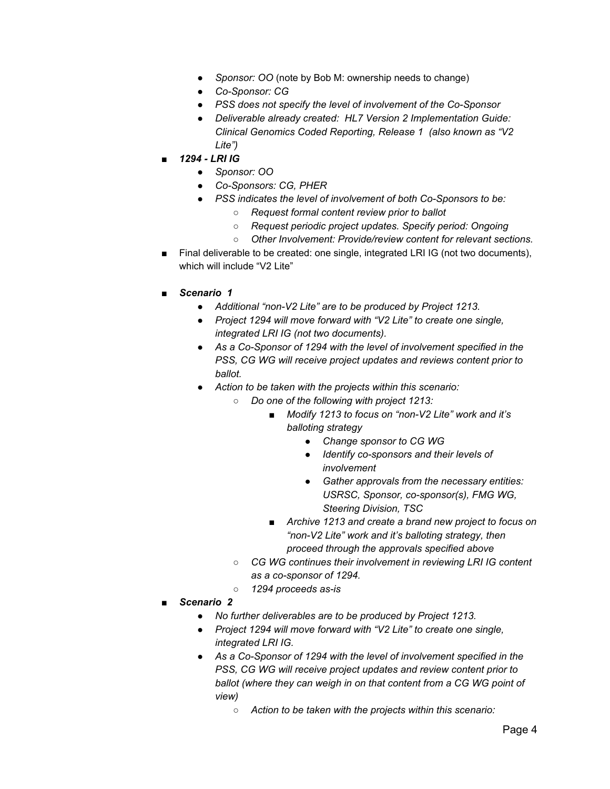- *Sponsor: OO* (note by Bob M: ownership needs to change)
- *Co-Sponsor: CG*
- *PSS does not specify the level of involvement of the Co-Sponsor*
- *Deliverable already created: HL7 Version 2 Implementation Guide: Clinical Genomics Coded Reporting, Release 1 (also known as "V2 Lite")*
- *1294 - LRI IG*
	- *Sponsor: OO*
	- *Co-Sponsors: CG, PHER*
	- *PSS indicates the level of involvement of both Co-Sponsors to be:*
		- *Request formal content review prior to ballot*
		- *Request periodic project updates. Specify period: Ongoing*
		- *Other Involvement: Provide/review content for relevant sections.*
- Final deliverable to be created: one single, integrated LRI IG (not two documents), which will include "V2 Lite"
- *Scenario 1* 
	- *Additional "non-V2 Lite" are to be produced by Project 1213.*
	- *Project 1294 will move forward with "V2 Lite" to create one single, integrated LRI IG (not two documents).*
	- *As a Co-Sponsor of 1294 with the level of involvement specified in the PSS, CG WG will receive project updates and reviews content prior to ballot.*
	- *Action to be taken with the projects within this scenario:*
		- *Do one of the following with project 1213:*
			- *Modify 1213 to focus on "non-V2 Lite" work and it's balloting strategy*
				- *Change sponsor to CG WG*
				- *Identify co-sponsors and their levels of involvement*
				- *Gather approvals from the necessary entities: USRSC, Sponsor, co-sponsor(s), FMG WG, Steering Division, TSC*
			- *Archive 1213 and create a brand new project to focus on "non-V2 Lite" work and it's balloting strategy, then proceed through the approvals specified above*
		- *CG WG continues their involvement in reviewing LRI IG content as a co-sponsor of 1294.*
		- *1294 proceeds as-is*
- **Scenario 2** 
	- *No further deliverables are to be produced by Project 1213.*
	- *Project 1294 will move forward with "V2 Lite" to create one single, integrated LRI IG.*
	- *As a Co-Sponsor of 1294 with the level of involvement specified in the PSS, CG WG will receive project updates and review content prior to ballot (where they can weigh in on that content from a CG WG point of view)*
		- *Action to be taken with the projects within this scenario:*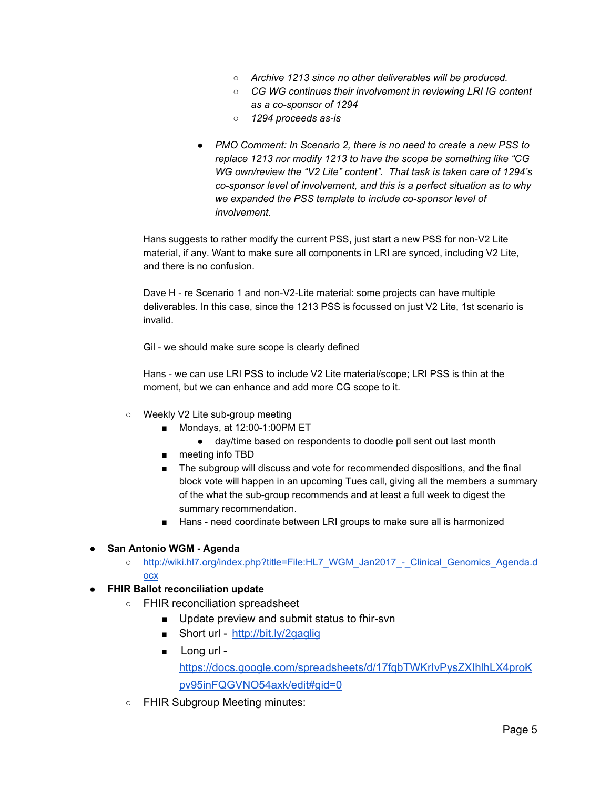- *Archive 1213 since no other deliverables will be produced.*
- *CG WG continues their involvement in reviewing LRI IG content as a co-sponsor of 1294*
- *1294 proceeds as-is*
- *PMO Comment: In Scenario 2, there is no need to create a new PSS to replace 1213 nor modify 1213 to have the scope be something like "CG WG own/review the "V2 Lite" content". That task is taken care of 1294's co-sponsor level of involvement, and this is a perfect situation as to why we expanded the PSS template to include co-sponsor level of involvement.*

Hans suggests to rather modify the current PSS, just start a new PSS for non-V2 Lite material, if any. Want to make sure all components in LRI are synced, including V2 Lite, and there is no confusion.

Dave H - re Scenario 1 and non-V2-Lite material: some projects can have multiple deliverables. In this case, since the 1213 PSS is focussed on just V2 Lite, 1st scenario is invalid.

Gil - we should make sure scope is clearly defined

Hans - we can use LRI PSS to include V2 Lite material/scope; LRI PSS is thin at the moment, but we can enhance and add more CG scope to it.

- Weekly V2 Lite sub-group meeting
	- Mondays, at 12:00-1:00PM ET
		- day/time based on respondents to doodle poll sent out last month
	- meeting info TBD
	- The subgroup will discuss and vote for recommended dispositions, and the final block vote will happen in an upcoming Tues call, giving all the members a summary of the what the sub-group recommends and at least a full week to digest the summary recommendation.
	- Hans need coordinate between LRI groups to make sure all is harmonized

## **● San Antonio WGM - Agenda**

- [http://wiki.hl7.org/index.php?title=File:HL7\\_WGM\\_Jan2017\\_-\\_Clinical\\_Genomics\\_Agenda.d](http://wiki.hl7.org/index.php?title=File:HL7_WGM_Jan2017_-_Clinical_Genomics_Agenda.docx) [ocx](http://wiki.hl7.org/index.php?title=File:HL7_WGM_Jan2017_-_Clinical_Genomics_Agenda.docx)
- **● FHIR Ballot reconciliation update**
	- FHIR reconciliation spreadsheet
		- Update preview and submit status to fhir-svn
		- Short url -<http://bit.ly/2gaglig>
		- Long url -

[https://docs.google.com/spreadsheets/d/17fqbTWKrIvPysZXIhlhLX4proK](https://docs.google.com/spreadsheets/d/17fqbTWKrIvPysZXIhlhLX4proKpv95inFQGVNO54axk/edit#gid=0) [pv95inFQGVNO54axk/edit#gid=0](https://docs.google.com/spreadsheets/d/17fqbTWKrIvPysZXIhlhLX4proKpv95inFQGVNO54axk/edit#gid=0)

○ FHIR Subgroup Meeting minutes: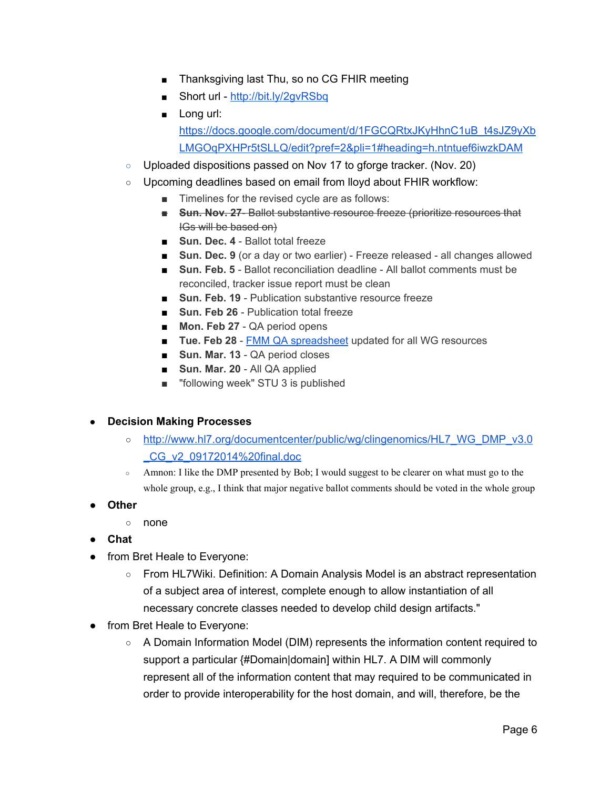- Thanksgiving last Thu, so no CG FHIR meeting
- Short url -<http://bit.ly/2gvRSbq>
- Long url: [https://docs.google.com/document/d/1FGCQRtxJKyHhnC1uB\\_t4sJZ9yXb](https://docs.google.com/document/d/1FGCQRtxJKyHhnC1uB_t4sJZ9yXbLMGOqPXHPr5tSLLQ/edit?pref=2&pli=1#heading=h.ntntuef6iwzkDAM) [LMGOqPXHPr5tSLLQ/edit?pref=2&pli=1#heading=h.ntntuef6iwzkDAM](https://docs.google.com/document/d/1FGCQRtxJKyHhnC1uB_t4sJZ9yXbLMGOqPXHPr5tSLLQ/edit?pref=2&pli=1#heading=h.ntntuef6iwzkDAM)
- Uploaded dispositions passed on Nov 17 to gforge tracker. (Nov. 20)
- Upcoming deadlines based on email from lloyd about FHIR workflow:
	- Timelines for the revised cycle are as follows:
	- **Sun. Nov. 27- Ballot substantive resource freeze (prioritize resources that** IGs will be based on)
	- **Sun. Dec. 4** Ballot total freeze
	- **Sun. Dec. 9** (or a day or two earlier) Freeze released all changes allowed
	- **Sun. Feb. 5** Ballot reconciliation deadline All ballot comments must be reconciled, tracker issue report must be clean
	- **Sun. Feb. 19** Publication substantive resource freeze
	- **Sun. Feb 26** Publication total freeze
	- **Mon. Feb 27** QA period opens
	- **Tue. Feb 28** - [FMM QA spreadsheet](https://urldefense.proofpoint.com/v2/url?u=https-3A__docs.google.com_a_lmckenzie.com_spreadsheets_d_18HfXF7mUCUV7jACCG0oejFp6D-2DibtvbmcgywNhn76lw&d=CwMFaQ&c=C_O335FEx-vf3XHLXGN8TO1BAxpi8-UjLCbu_DQ0pZI&r=ryg_9rF5dRVeoA6Q9Ubodw&m=6Y2ip_rIMwtLYq2kTGwTTUAlLSvBXGOF8pT7btzjk08&s=zCDxCligGl6nyADNr1N-E59ePIUqD4BcyIswx4TM4mM&e=) updated for all WG resources
	- **Sun. Mar. 13** QA period closes
	- **Sun. Mar. 20** All QA applied
	- "following week" STU 3 is published

# **● Decision Making Processes**

- [http://www.hl7.org/documentcenter/public/wg/clingenomics/HL7\\_WG\\_DMP\\_v3.0](http://www.hl7.org/documentcenter/public/wg/clingenomics/HL7_WG_DMP_v3.0_CG_v2_09172014%20final.doc) [\\_CG\\_v2\\_09172014%20final.doc](http://www.hl7.org/documentcenter/public/wg/clingenomics/HL7_WG_DMP_v3.0_CG_v2_09172014%20final.doc)
- Amnon: I like the DMP presented by Bob; I would suggest to be clearer on what must go to the whole group, e.g., I think that major negative ballot comments should be voted in the whole group
- **● Other**
	- none
- **● Chat**
- from Bret Heale to Everyone:
	- From HL7Wiki. Definition: A Domain Analysis Model is an abstract representation of a subject area of interest, complete enough to allow instantiation of all necessary concrete classes needed to develop child design artifacts."
- from Bret Heale to Everyone:
	- A Domain Information Model (DIM) represents the information content required to support a particular {#Domain|domain] within HL7. A DIM will commonly represent all of the information content that may required to be communicated in order to provide interoperability for the host domain, and will, therefore, be the